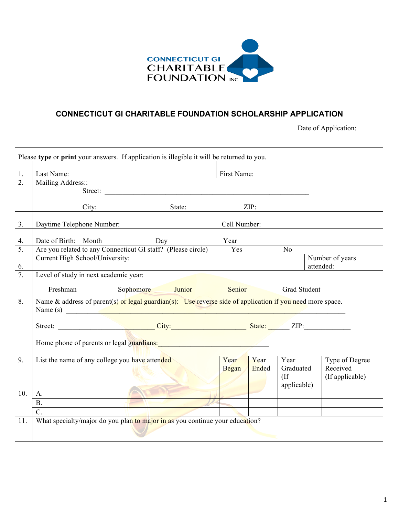

## **CONNECTICUT GI CHARITABLE FOUNDATION SCHOLARSHIP APPLICATION**

|     |                                                                                                                         |                                                 |                                                                                                                                                                                                                               |               |               |                                          | Date of Application:                          |
|-----|-------------------------------------------------------------------------------------------------------------------------|-------------------------------------------------|-------------------------------------------------------------------------------------------------------------------------------------------------------------------------------------------------------------------------------|---------------|---------------|------------------------------------------|-----------------------------------------------|
|     |                                                                                                                         |                                                 |                                                                                                                                                                                                                               |               |               |                                          |                                               |
|     |                                                                                                                         |                                                 | Please type or print your answers. If application is illegible it will be returned to you.                                                                                                                                    |               |               |                                          |                                               |
| 1.  |                                                                                                                         | Last Name:                                      |                                                                                                                                                                                                                               | First Name:   |               |                                          |                                               |
| 2.  |                                                                                                                         | Mailing Address::                               |                                                                                                                                                                                                                               |               |               |                                          |                                               |
|     |                                                                                                                         |                                                 | Street:                                                                                                                                                                                                                       |               |               |                                          |                                               |
|     |                                                                                                                         |                                                 | State:<br>City:                                                                                                                                                                                                               |               |               | ZIP:                                     |                                               |
| 3.  |                                                                                                                         | Daytime Telephone Number:                       |                                                                                                                                                                                                                               | Cell Number:  |               |                                          |                                               |
| 4.  |                                                                                                                         | Date of Birth: Month Day                        |                                                                                                                                                                                                                               | Year          |               |                                          |                                               |
| 5.  |                                                                                                                         |                                                 | Are you related to any Connecticut GI staff? (Please circle) Yes                                                                                                                                                              |               |               | $\overline{N_0}$                         |                                               |
|     |                                                                                                                         | Current High School/University:                 |                                                                                                                                                                                                                               |               |               |                                          | Number of years                               |
| 6.  |                                                                                                                         |                                                 |                                                                                                                                                                                                                               |               |               |                                          | attended:                                     |
| 7.  |                                                                                                                         | Level of study in next academic year:           |                                                                                                                                                                                                                               |               |               |                                          |                                               |
|     |                                                                                                                         | Freshman                                        | Sophomore Junior Senior                                                                                                                                                                                                       |               |               | <b>Grad Student</b>                      |                                               |
| 8.  | Name & address of parent(s) or legal guardian(s): Use reverse side of application if you need more space.<br>Name $(s)$ |                                                 |                                                                                                                                                                                                                               |               |               |                                          |                                               |
|     |                                                                                                                         |                                                 |                                                                                                                                                                                                                               |               |               |                                          |                                               |
|     |                                                                                                                         |                                                 | Home phone of parents or legal guardians: 1999 and 1999 and 1999 and 1999 and 1999 and 1999 and 1999 and 1999 and 1999 and 1999 and 1999 and 1999 and 1999 and 1999 and 1999 and 1999 and 1999 and 1999 and 1999 and 1999 and |               |               |                                          |                                               |
| 9.  |                                                                                                                         | List the name of any college you have attended. |                                                                                                                                                                                                                               | Year<br>Began | Year<br>Ended | Year<br>Graduated<br>(If)<br>applicable) | Type of Degree<br>Received<br>(If applicable) |
| 10. | $\mathsf{A}_{\cdot}$                                                                                                    |                                                 |                                                                                                                                                                                                                               |               |               |                                          |                                               |
|     | $B_{\cdot}$                                                                                                             |                                                 |                                                                                                                                                                                                                               |               |               |                                          |                                               |
|     | $\overline{C}$ .                                                                                                        |                                                 |                                                                                                                                                                                                                               |               |               |                                          |                                               |
| 11. |                                                                                                                         |                                                 | What specialty/major do you plan to major in as you continue your education?                                                                                                                                                  |               |               |                                          |                                               |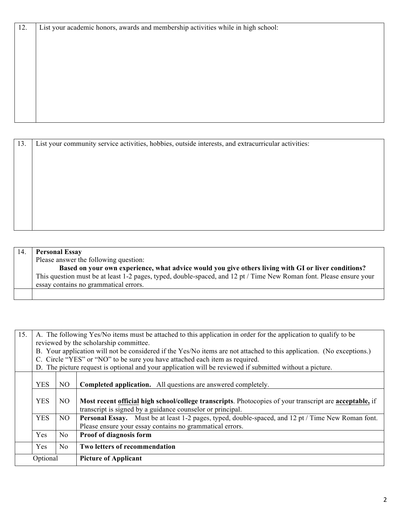| List your academic honors, awards and membership activities while in high school: |
|-----------------------------------------------------------------------------------|
|                                                                                   |
|                                                                                   |
|                                                                                   |
|                                                                                   |
|                                                                                   |
|                                                                                   |
|                                                                                   |
|                                                                                   |

| 13. | List your community service activities, hobbies, outside interests, and extracurricular activities: |  |  |  |
|-----|-----------------------------------------------------------------------------------------------------|--|--|--|
|     |                                                                                                     |  |  |  |
|     |                                                                                                     |  |  |  |
|     |                                                                                                     |  |  |  |
|     |                                                                                                     |  |  |  |
|     |                                                                                                     |  |  |  |
|     |                                                                                                     |  |  |  |
|     |                                                                                                     |  |  |  |
|     |                                                                                                     |  |  |  |
|     |                                                                                                     |  |  |  |

| 14. | <b>Personal Essay</b>                                                                                               |  |  |  |
|-----|---------------------------------------------------------------------------------------------------------------------|--|--|--|
|     | Please answer the following question:                                                                               |  |  |  |
|     | Based on your own experience, what advice would you give others living with GI or liver conditions?                 |  |  |  |
|     | This question must be at least 1-2 pages, typed, double-spaced, and 12 pt / Time New Roman font. Please ensure your |  |  |  |
|     | essay contains no grammatical errors.                                                                               |  |  |  |
|     |                                                                                                                     |  |  |  |

| 15.      | A. The following Yes/No items must be attached to this application in order for the application to qualify to be      |                |                                                                                                           |  |
|----------|-----------------------------------------------------------------------------------------------------------------------|----------------|-----------------------------------------------------------------------------------------------------------|--|
|          | reviewed by the scholarship committee.                                                                                |                |                                                                                                           |  |
|          | B. Your application will not be considered if the Yes/No items are not attached to this application. (No exceptions.) |                |                                                                                                           |  |
|          | C. Circle "YES" or "NO" to be sure you have attached each item as required.                                           |                |                                                                                                           |  |
|          | D. The picture request is optional and your application will be reviewed if submitted without a picture.              |                |                                                                                                           |  |
|          |                                                                                                                       |                |                                                                                                           |  |
|          | <b>YES</b>                                                                                                            | N <sub>O</sub> | <b>Completed application.</b> All questions are answered completely.                                      |  |
|          |                                                                                                                       |                |                                                                                                           |  |
|          | <b>YES</b>                                                                                                            | NO.            | Most recent official high school/college transcripts. Photocopies of your transcript are acceptable, if   |  |
|          | transcript is signed by a guidance counselor or principal.                                                            |                |                                                                                                           |  |
|          | <b>YES</b><br>NO.                                                                                                     |                | <b>Personal Essay.</b> Must be at least 1-2 pages, typed, double-spaced, and 12 pt / Time New Roman font. |  |
|          |                                                                                                                       |                | Please ensure your essay contains no grammatical errors.                                                  |  |
|          | Yes                                                                                                                   | No.            | <b>Proof of diagnosis form</b>                                                                            |  |
|          | Yes                                                                                                                   | No             | Two letters of recommendation                                                                             |  |
| Optional |                                                                                                                       |                | <b>Picture of Applicant</b>                                                                               |  |